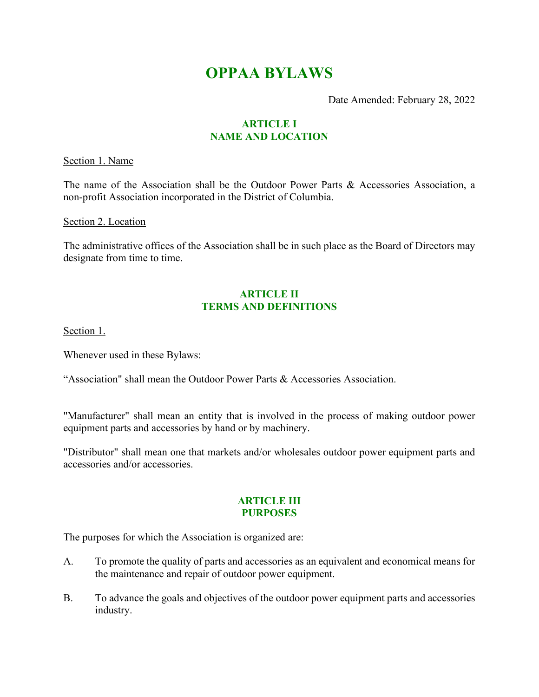# **OPPAA BYLAWS**

Date Amended: February 28, 2022

# **ARTICLE I NAME AND LOCATION**

Section 1. Name

The name of the Association shall be the Outdoor Power Parts & Accessories Association, a non-profit Association incorporated in the District of Columbia.

Section 2. Location

The administrative offices of the Association shall be in such place as the Board of Directors may designate from time to time.

# **ARTICLE II TERMS AND DEFINITIONS**

Section 1.

Whenever used in these Bylaws:

"Association" shall mean the Outdoor Power Parts & Accessories Association.

"Manufacturer" shall mean an entity that is involved in the process of making outdoor power equipment parts and accessories by hand or by machinery.

"Distributor" shall mean one that markets and/or wholesales outdoor power equipment parts and accessories and/or accessories.

# **ARTICLE III PURPOSES**

The purposes for which the Association is organized are:

- A. To promote the quality of parts and accessories as an equivalent and economical means for the maintenance and repair of outdoor power equipment.
- B. To advance the goals and objectives of the outdoor power equipment parts and accessories industry.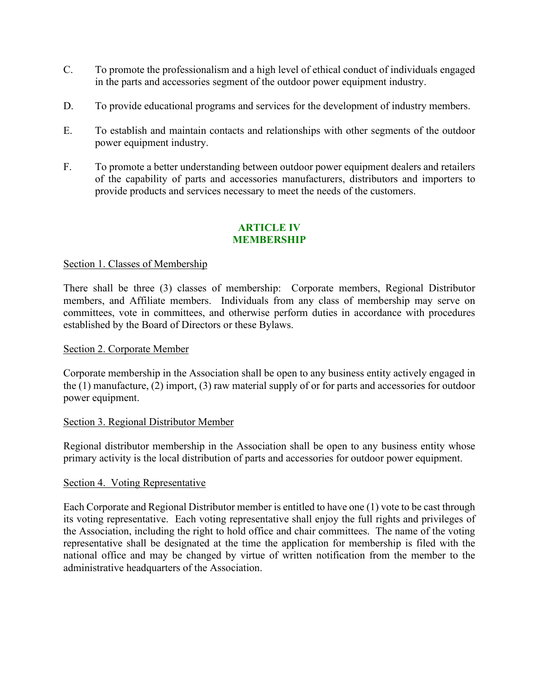- C. To promote the professionalism and a high level of ethical conduct of individuals engaged in the parts and accessories segment of the outdoor power equipment industry.
- D. To provide educational programs and services for the development of industry members.
- E. To establish and maintain contacts and relationships with other segments of the outdoor power equipment industry.
- F. To promote a better understanding between outdoor power equipment dealers and retailers of the capability of parts and accessories manufacturers, distributors and importers to provide products and services necessary to meet the needs of the customers.

# **ARTICLE IV MEMBERSHIP**

# Section 1. Classes of Membership

There shall be three (3) classes of membership: Corporate members, Regional Distributor members, and Affiliate members. Individuals from any class of membership may serve on committees, vote in committees, and otherwise perform duties in accordance with procedures established by the Board of Directors or these Bylaws.

#### Section 2. Corporate Member

Corporate membership in the Association shall be open to any business entity actively engaged in the (1) manufacture, (2) import, (3) raw material supply of or for parts and accessories for outdoor power equipment.

#### Section 3. Regional Distributor Member

Regional distributor membership in the Association shall be open to any business entity whose primary activity is the local distribution of parts and accessories for outdoor power equipment.

#### Section 4. Voting Representative

Each Corporate and Regional Distributor member is entitled to have one (1) vote to be cast through its voting representative. Each voting representative shall enjoy the full rights and privileges of the Association, including the right to hold office and chair committees. The name of the voting representative shall be designated at the time the application for membership is filed with the national office and may be changed by virtue of written notification from the member to the administrative headquarters of the Association.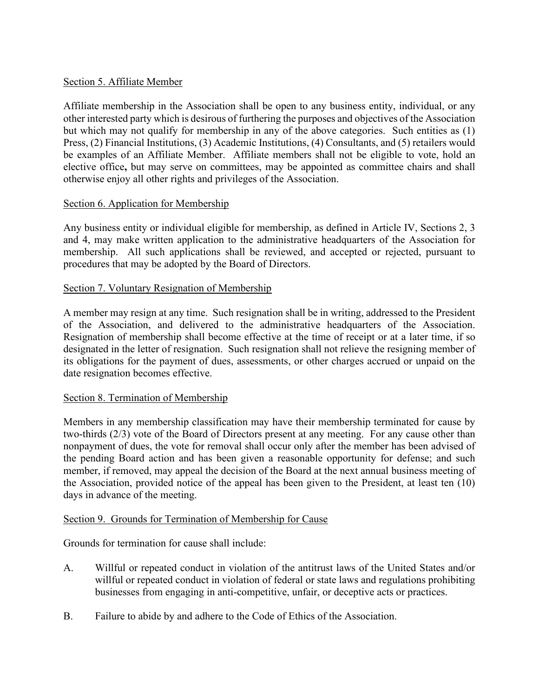# Section 5. Affiliate Member

Affiliate membership in the Association shall be open to any business entity, individual, or any other interested party which is desirous of furthering the purposes and objectives of the Association but which may not qualify for membership in any of the above categories. Such entities as (1) Press, (2) Financial Institutions, (3) Academic Institutions, (4) Consultants, and (5) retailers would be examples of an Affiliate Member. Affiliate members shall not be eligible to vote, hold an elective office**,** but may serve on committees, may be appointed as committee chairs and shall otherwise enjoy all other rights and privileges of the Association.

# Section 6. Application for Membership

Any business entity or individual eligible for membership, as defined in Article IV, Sections 2, 3 and 4, may make written application to the administrative headquarters of the Association for membership. All such applications shall be reviewed, and accepted or rejected, pursuant to procedures that may be adopted by the Board of Directors.

# Section 7. Voluntary Resignation of Membership

A member may resign at any time. Such resignation shall be in writing, addressed to the President of the Association, and delivered to the administrative headquarters of the Association. Resignation of membership shall become effective at the time of receipt or at a later time, if so designated in the letter of resignation. Such resignation shall not relieve the resigning member of its obligations for the payment of dues, assessments, or other charges accrued or unpaid on the date resignation becomes effective.

# Section 8. Termination of Membership

Members in any membership classification may have their membership terminated for cause by two-thirds (2/3) vote of the Board of Directors present at any meeting. For any cause other than nonpayment of dues, the vote for removal shall occur only after the member has been advised of the pending Board action and has been given a reasonable opportunity for defense; and such member, if removed, may appeal the decision of the Board at the next annual business meeting of the Association, provided notice of the appeal has been given to the President, at least ten (10) days in advance of the meeting.

# Section 9. Grounds for Termination of Membership for Cause

Grounds for termination for cause shall include:

- A. Willful or repeated conduct in violation of the antitrust laws of the United States and/or willful or repeated conduct in violation of federal or state laws and regulations prohibiting businesses from engaging in anti-competitive, unfair, or deceptive acts or practices.
- B. Failure to abide by and adhere to the Code of Ethics of the Association.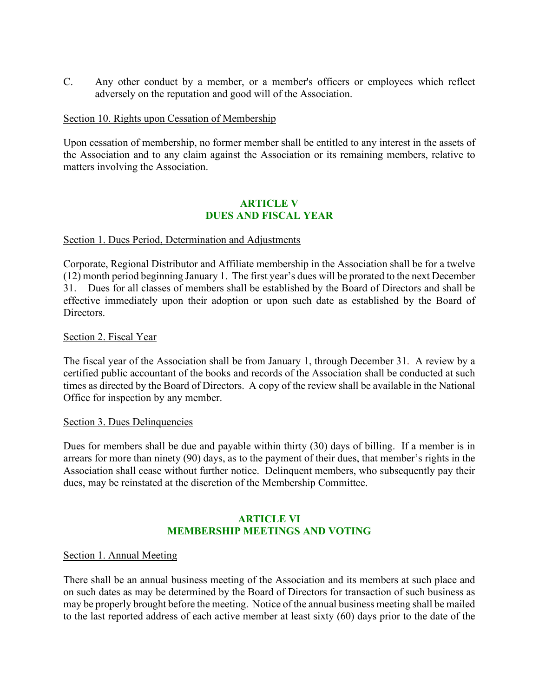C. Any other conduct by a member, or a member's officers or employees which reflect adversely on the reputation and good will of the Association.

#### Section 10. Rights upon Cessation of Membership

Upon cessation of membership, no former member shall be entitled to any interest in the assets of the Association and to any claim against the Association or its remaining members, relative to matters involving the Association.

# **ARTICLE V DUES AND FISCAL YEAR**

#### Section 1. Dues Period, Determination and Adjustments

Corporate, Regional Distributor and Affiliate membership in the Association shall be for a twelve (12) month period beginning January 1. The first year's dues will be prorated to the next December 31. Dues for all classes of members shall be established by the Board of Directors and shall be effective immediately upon their adoption or upon such date as established by the Board of **Directors** 

#### Section 2. Fiscal Year

The fiscal year of the Association shall be from January 1, through December 31. A review by a certified public accountant of the books and records of the Association shall be conducted at such times as directed by the Board of Directors. A copy of the review shall be available in the National Office for inspection by any member.

#### Section 3. Dues Delinquencies

Dues for members shall be due and payable within thirty (30) days of billing. If a member is in arrears for more than ninety (90) days, as to the payment of their dues, that member's rights in the Association shall cease without further notice. Delinquent members, who subsequently pay their dues, may be reinstated at the discretion of the Membership Committee.

# **ARTICLE VI MEMBERSHIP MEETINGS AND VOTING**

#### Section 1. Annual Meeting

There shall be an annual business meeting of the Association and its members at such place and on such dates as may be determined by the Board of Directors for transaction of such business as may be properly brought before the meeting. Notice of the annual business meeting shall be mailed to the last reported address of each active member at least sixty (60) days prior to the date of the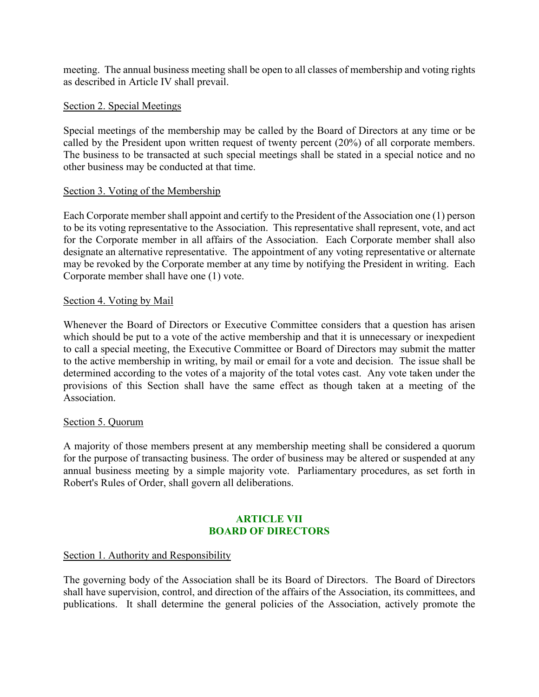meeting. The annual business meeting shall be open to all classes of membership and voting rights as described in Article IV shall prevail.

# Section 2. Special Meetings

Special meetings of the membership may be called by the Board of Directors at any time or be called by the President upon written request of twenty percent (20%) of all corporate members. The business to be transacted at such special meetings shall be stated in a special notice and no other business may be conducted at that time.

# Section 3. Voting of the Membership

Each Corporate member shall appoint and certify to the President of the Association one (1) person to be its voting representative to the Association. This representative shall represent, vote, and act for the Corporate member in all affairs of the Association. Each Corporate member shall also designate an alternative representative. The appointment of any voting representative or alternate may be revoked by the Corporate member at any time by notifying the President in writing. Each Corporate member shall have one (1) vote.

# Section 4. Voting by Mail

Whenever the Board of Directors or Executive Committee considers that a question has arisen which should be put to a vote of the active membership and that it is unnecessary or inexpedient to call a special meeting, the Executive Committee or Board of Directors may submit the matter to the active membership in writing, by mail or email for a vote and decision. The issue shall be determined according to the votes of a majority of the total votes cast. Any vote taken under the provisions of this Section shall have the same effect as though taken at a meeting of the Association.

# Section 5. Quorum

A majority of those members present at any membership meeting shall be considered a quorum for the purpose of transacting business. The order of business may be altered or suspended at any annual business meeting by a simple majority vote. Parliamentary procedures, as set forth in Robert's Rules of Order, shall govern all deliberations.

# **ARTICLE VII BOARD OF DIRECTORS**

# Section 1. Authority and Responsibility

The governing body of the Association shall be its Board of Directors. The Board of Directors shall have supervision, control, and direction of the affairs of the Association, its committees, and publications. It shall determine the general policies of the Association, actively promote the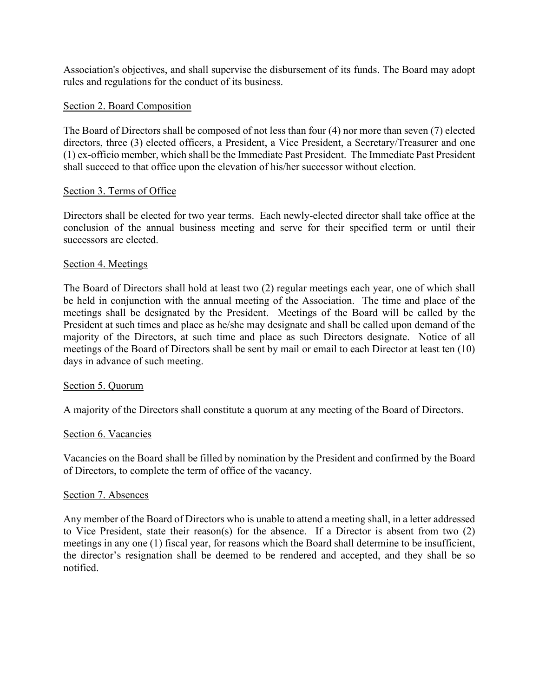Association's objectives, and shall supervise the disbursement of its funds. The Board may adopt rules and regulations for the conduct of its business.

# Section 2. Board Composition

The Board of Directors shall be composed of not less than four (4) nor more than seven (7) elected directors, three (3) elected officers, a President, a Vice President, a Secretary/Treasurer and one (1) ex-officio member, which shall be the Immediate Past President. The Immediate Past President shall succeed to that office upon the elevation of his/her successor without election.

# Section 3. Terms of Office

Directors shall be elected for two year terms. Each newly-elected director shall take office at the conclusion of the annual business meeting and serve for their specified term or until their successors are elected.

# Section 4. Meetings

The Board of Directors shall hold at least two (2) regular meetings each year, one of which shall be held in conjunction with the annual meeting of the Association. The time and place of the meetings shall be designated by the President. Meetings of the Board will be called by the President at such times and place as he/she may designate and shall be called upon demand of the majority of the Directors, at such time and place as such Directors designate. Notice of all meetings of the Board of Directors shall be sent by mail or email to each Director at least ten (10) days in advance of such meeting.

# Section 5. Quorum

A majority of the Directors shall constitute a quorum at any meeting of the Board of Directors.

# Section 6. Vacancies

Vacancies on the Board shall be filled by nomination by the President and confirmed by the Board of Directors, to complete the term of office of the vacancy.

# Section 7. Absences

Any member of the Board of Directors who is unable to attend a meeting shall, in a letter addressed to Vice President, state their reason(s) for the absence. If a Director is absent from two (2) meetings in any one (1) fiscal year, for reasons which the Board shall determine to be insufficient, the director's resignation shall be deemed to be rendered and accepted, and they shall be so notified.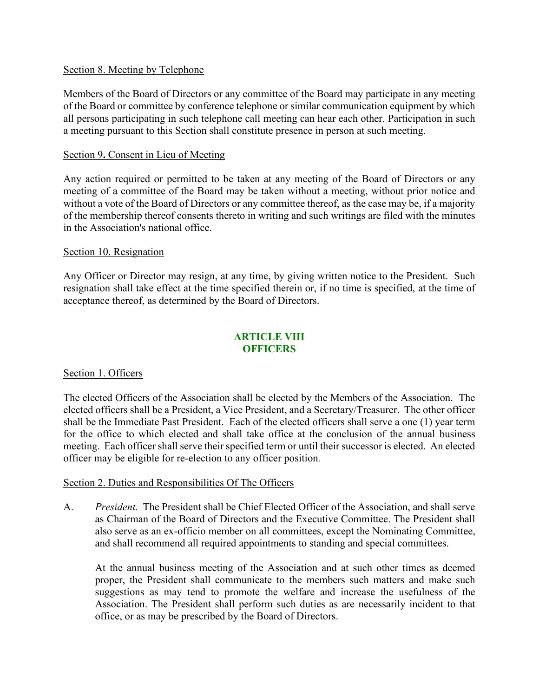#### Section 8. Meeting by Telephone

Members of the Board of Directors or any committee of the Board may participate in any meeting of the Board or committee by conference telephone or similar communication equipment by which all persons participating in such telephone call meeting can hear each other. Participation in such a meeting pursuant to this Section shall constitute presence in person at such meeting.

#### Section 9**.** Consent in Lieu of Meeting

Any action required or permitted to be taken at any meeting of the Board of Directors or any meeting of a committee of the Board may be taken without a meeting, without prior notice and without a vote of the Board of Directors or any committee thereof, as the case may be, if a majority of the membership thereof consents thereto in writing and such writings are filed with the minutes in the Association's national office.

#### Section 10. Resignation

Any Officer or Director may resign, at any time, by giving written notice to the President. Such resignation shall take effect at the time specified therein or, if no time is specified, at the time of acceptance thereof, as determined by the Board of Directors.

# **ARTICLE VIII OFFICERS**

# Section 1. Officers

The elected Officers of the Association shall be elected by the Members of the Association. The elected officers shall be a President, a Vice President, and a Secretary/Treasurer. The other officer shall be the Immediate Past President. Each of the elected officers shall serve a one (1) year term for the office to which elected and shall take office at the conclusion of the annual business meeting. Each officer shall serve their specified term or until their successor is elected. An elected officer may be eligible for re-election to any officer position.

# Section 2. Duties and Responsibilities Of The Officers

A. *President.* The President shall be Chief Elected Officer of the Association, and shall serve as Chairman of the Board of Directors and the Executive Committee. The President shall also serve as an ex-officio member on all committees, except the Nominating Committee, and shall recommend all required appointments to standing and special committees.

At the annual business meeting of the Association and at such other times as deemed proper, the President shall communicate to the members such matters and make such suggestions as may tend to promote the welfare and increase the usefulness of the Association. The President shall perform such duties as are necessarily incident to that office, or as may be prescribed by the Board of Directors.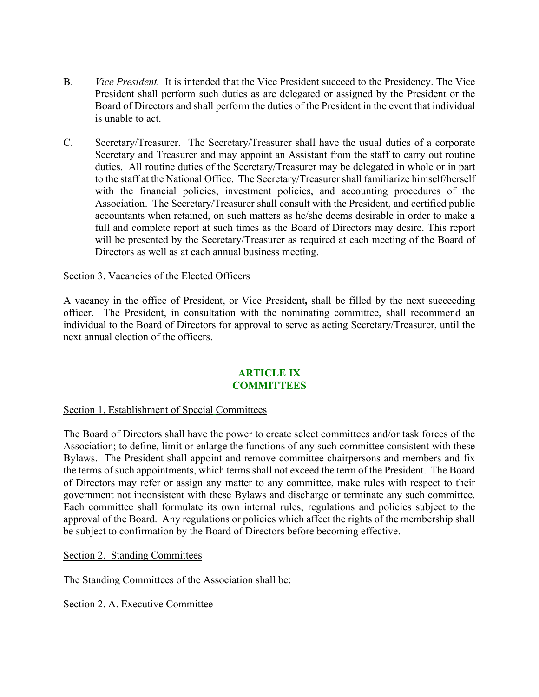- B. *Vice President.* It is intended that the Vice President succeed to the Presidency. The Vice President shall perform such duties as are delegated or assigned by the President or the Board of Directors and shall perform the duties of the President in the event that individual is unable to act.
- C. Secretary/Treasurer.The Secretary/Treasurer shall have the usual duties of a corporate Secretary and Treasurer and may appoint an Assistant from the staff to carry out routine duties. All routine duties of the Secretary/Treasurer may be delegated in whole or in part to the staff at the National Office. The Secretary/Treasurer shall familiarize himself/herself with the financial policies, investment policies, and accounting procedures of the Association. The Secretary/Treasurer shall consult with the President, and certified public accountants when retained, on such matters as he/she deems desirable in order to make a full and complete report at such times as the Board of Directors may desire. This report will be presented by the Secretary/Treasurer as required at each meeting of the Board of Directors as well as at each annual business meeting.

# Section 3. Vacancies of the Elected Officers

A vacancy in the office of President, or Vice President**,** shall be filled by the next succeeding officer. The President, in consultation with the nominating committee, shall recommend an individual to the Board of Directors for approval to serve as acting Secretary/Treasurer, until the next annual election of the officers.

# **ARTICLE IX COMMITTEES**

# Section 1. Establishment of Special Committees

The Board of Directors shall have the power to create select committees and/or task forces of the Association; to define, limit or enlarge the functions of any such committee consistent with these Bylaws. The President shall appoint and remove committee chairpersons and members and fix the terms of such appointments, which terms shall not exceed the term of the President. The Board of Directors may refer or assign any matter to any committee, make rules with respect to their government not inconsistent with these Bylaws and discharge or terminate any such committee. Each committee shall formulate its own internal rules, regulations and policies subject to the approval of the Board. Any regulations or policies which affect the rights of the membership shall be subject to confirmation by the Board of Directors before becoming effective.

Section 2. Standing Committees

The Standing Committees of the Association shall be:

Section 2. A. Executive Committee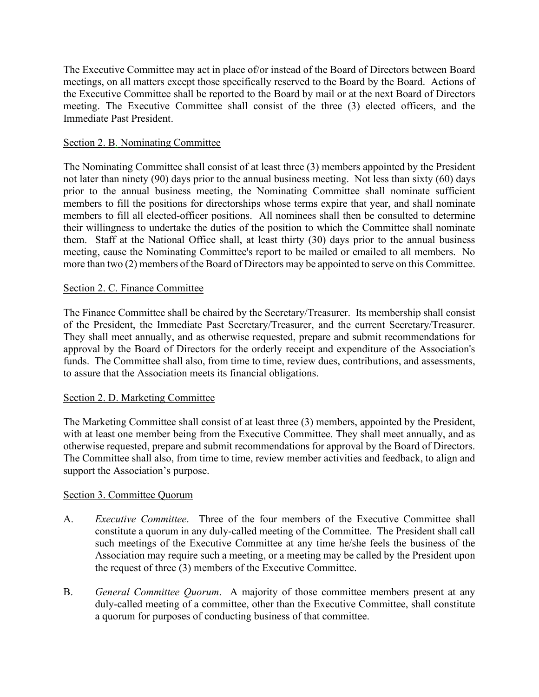The Executive Committee may act in place of/or instead of the Board of Directors between Board meetings, on all matters except those specifically reserved to the Board by the Board. Actions of the Executive Committee shall be reported to the Board by mail or at the next Board of Directors meeting. The Executive Committee shall consist of the three (3) elected officers, and the Immediate Past President.

# Section 2. B. Nominating Committee

The Nominating Committee shall consist of at least three (3) members appointed by the President not later than ninety (90) days prior to the annual business meeting. Not less than sixty (60) days prior to the annual business meeting, the Nominating Committee shall nominate sufficient members to fill the positions for directorships whose terms expire that year, and shall nominate members to fill all elected-officer positions. All nominees shall then be consulted to determine their willingness to undertake the duties of the position to which the Committee shall nominate them. Staff at the National Office shall, at least thirty (30) days prior to the annual business meeting, cause the Nominating Committee's report to be mailed or emailed to all members. No more than two (2) members of the Board of Directors may be appointed to serve on this Committee.

# Section 2. C. Finance Committee

The Finance Committee shall be chaired by the Secretary/Treasurer. Its membership shall consist of the President, the Immediate Past Secretary/Treasurer, and the current Secretary/Treasurer. They shall meet annually, and as otherwise requested, prepare and submit recommendations for approval by the Board of Directors for the orderly receipt and expenditure of the Association's funds. The Committee shall also, from time to time, review dues, contributions, and assessments, to assure that the Association meets its financial obligations.

# Section 2. D. Marketing Committee

The Marketing Committee shall consist of at least three (3) members, appointed by the President, with at least one member being from the Executive Committee. They shall meet annually, and as otherwise requested, prepare and submit recommendations for approval by the Board of Directors. The Committee shall also, from time to time, review member activities and feedback, to align and support the Association's purpose.

# Section 3. Committee Quorum

- A. *Executive Committee*. Three of the four members of the Executive Committee shall constitute a quorum in any duly-called meeting of the Committee. The President shall call such meetings of the Executive Committee at any time he/she feels the business of the Association may require such a meeting, or a meeting may be called by the President upon the request of three (3) members of the Executive Committee.
- B. *General Committee Quorum*. A majority of those committee members present at any duly-called meeting of a committee, other than the Executive Committee, shall constitute a quorum for purposes of conducting business of that committee.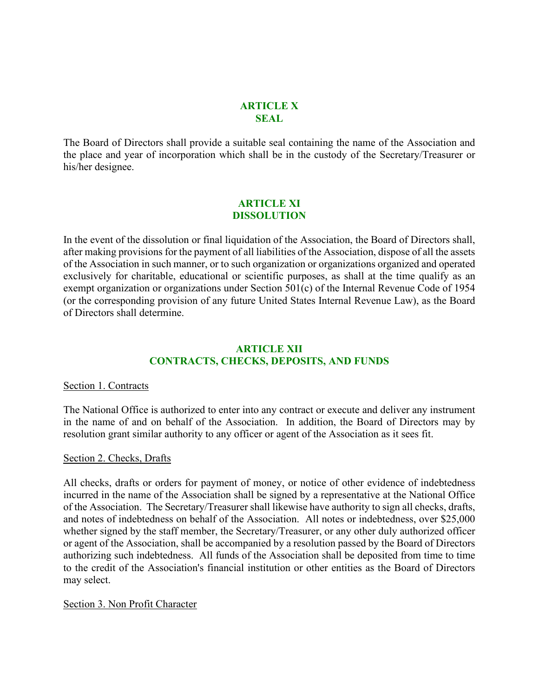#### **ARTICLE X SEAL**

The Board of Directors shall provide a suitable seal containing the name of the Association and the place and year of incorporation which shall be in the custody of the Secretary/Treasurer or his/her designee.

# **ARTICLE XI DISSOLUTION**

In the event of the dissolution or final liquidation of the Association, the Board of Directors shall, after making provisions for the payment of all liabilities of the Association, dispose of all the assets of the Association in such manner, or to such organization or organizations organized and operated exclusively for charitable, educational or scientific purposes, as shall at the time qualify as an exempt organization or organizations under Section 501(c) of the Internal Revenue Code of 1954 (or the corresponding provision of any future United States Internal Revenue Law), as the Board of Directors shall determine.

# **ARTICLE XII CONTRACTS, CHECKS, DEPOSITS, AND FUNDS**

#### Section 1. Contracts

The National Office is authorized to enter into any contract or execute and deliver any instrument in the name of and on behalf of the Association. In addition, the Board of Directors may by resolution grant similar authority to any officer or agent of the Association as it sees fit.

#### Section 2. Checks, Drafts

All checks, drafts or orders for payment of money, or notice of other evidence of indebtedness incurred in the name of the Association shall be signed by a representative at the National Office of the Association. The Secretary/Treasurer shall likewise have authority to sign all checks, drafts, and notes of indebtedness on behalf of the Association. All notes or indebtedness, over \$25,000 whether signed by the staff member, the Secretary/Treasurer, or any other duly authorized officer or agent of the Association, shall be accompanied by a resolution passed by the Board of Directors authorizing such indebtedness. All funds of the Association shall be deposited from time to time to the credit of the Association's financial institution or other entities as the Board of Directors may select.

# Section 3. Non Profit Character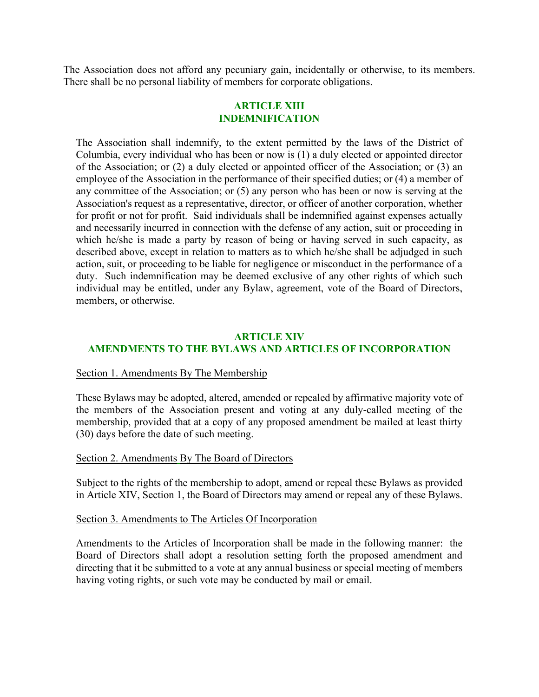The Association does not afford any pecuniary gain, incidentally or otherwise, to its members. There shall be no personal liability of members for corporate obligations.

#### **ARTICLE XIII INDEMNIFICATION**

The Association shall indemnify, to the extent permitted by the laws of the District of Columbia, every individual who has been or now is (1) a duly elected or appointed director of the Association; or (2) a duly elected or appointed officer of the Association; or (3) an employee of the Association in the performance of their specified duties; or (4) a member of any committee of the Association; or (5) any person who has been or now is serving at the Association's request as a representative, director, or officer of another corporation, whether for profit or not for profit. Said individuals shall be indemnified against expenses actually and necessarily incurred in connection with the defense of any action, suit or proceeding in which he/she is made a party by reason of being or having served in such capacity, as described above, except in relation to matters as to which he/she shall be adjudged in such action, suit, or proceeding to be liable for negligence or misconduct in the performance of a duty. Such indemnification may be deemed exclusive of any other rights of which such individual may be entitled, under any Bylaw, agreement, vote of the Board of Directors, members, or otherwise.

#### **ARTICLE XIV AMENDMENTS TO THE BYLAWS AND ARTICLES OF INCORPORATION**

#### Section 1. Amendments By The Membership

These Bylaws may be adopted, altered, amended or repealed by affirmative majority vote of the members of the Association present and voting at any duly-called meeting of the membership, provided that at a copy of any proposed amendment be mailed at least thirty (30) days before the date of such meeting.

#### Section 2. Amendments By The Board of Directors

Subject to the rights of the membership to adopt, amend or repeal these Bylaws as provided in Article XIV, Section 1, the Board of Directors may amend or repeal any of these Bylaws.

#### Section 3. Amendments to The Articles Of Incorporation

Amendments to the Articles of Incorporation shall be made in the following manner: the Board of Directors shall adopt a resolution setting forth the proposed amendment and directing that it be submitted to a vote at any annual business or special meeting of members having voting rights, or such vote may be conducted by mail or email.